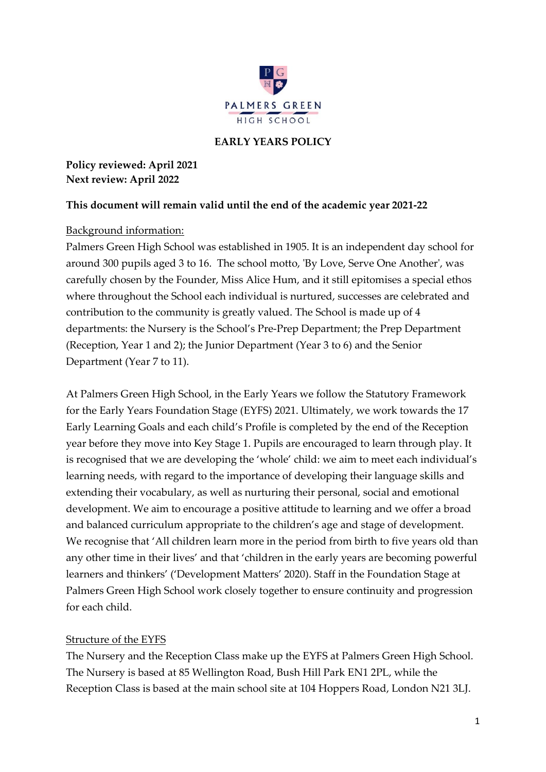

### **EARLY YEARS POLICY**

**Policy reviewed: April 2021 Next review: April 2022**

#### **This document will remain valid until the end of the academic year 2021-22**

### Background information:

Palmers Green High School was established in 1905. It is an independent day school for around 300 pupils aged 3 to 16. The school motto, 'By Love, Serve One Another', was carefully chosen by the Founder, Miss Alice Hum, and it still epitomises a special ethos where throughout the School each individual is nurtured, successes are celebrated and contribution to the community is greatly valued. The School is made up of 4 departments: the Nursery is the School's Pre-Prep Department; the Prep Department (Reception, Year 1 and 2); the Junior Department (Year 3 to 6) and the Senior Department (Year 7 to 11).

At Palmers Green High School, in the Early Years we follow the Statutory Framework for the Early Years Foundation Stage (EYFS) 2021. Ultimately, we work towards the 17 Early Learning Goals and each child's Profile is completed by the end of the Reception year before they move into Key Stage 1. Pupils are encouraged to learn through play. It is recognised that we are developing the 'whole' child: we aim to meet each individual's learning needs, with regard to the importance of developing their language skills and extending their vocabulary, as well as nurturing their personal, social and emotional development. We aim to encourage a positive attitude to learning and we offer a broad and balanced curriculum appropriate to the children's age and stage of development. We recognise that 'All children learn more in the period from birth to five years old than any other time in their lives' and that 'children in the early years are becoming powerful learners and thinkers' ('Development Matters' 2020). Staff in the Foundation Stage at Palmers Green High School work closely together to ensure continuity and progression for each child.

#### Structure of the EYFS

The Nursery and the Reception Class make up the EYFS at Palmers Green High School. The Nursery is based at 85 Wellington Road, Bush Hill Park EN1 2PL, while the Reception Class is based at the main school site at 104 Hoppers Road, London N21 3LJ.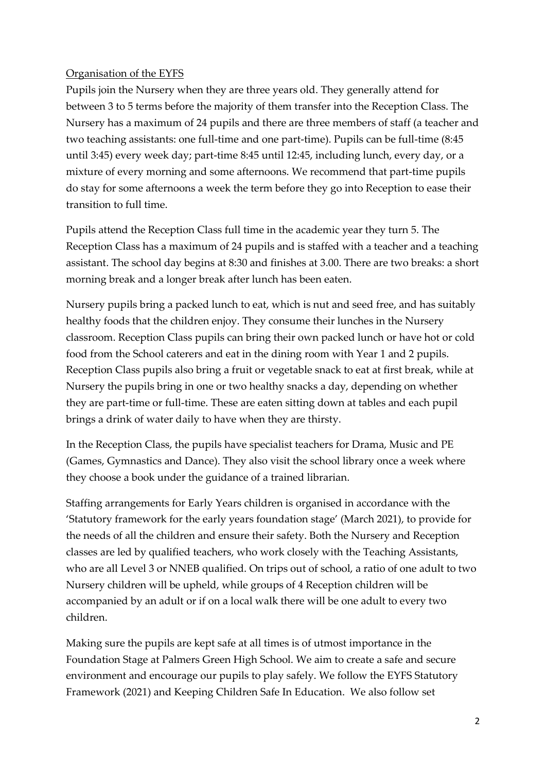### Organisation of the EYFS

Pupils join the Nursery when they are three years old. They generally attend for between 3 to 5 terms before the majority of them transfer into the Reception Class. The Nursery has a maximum of 24 pupils and there are three members of staff (a teacher and two teaching assistants: one full-time and one part-time). Pupils can be full-time (8:45 until 3:45) every week day; part-time 8:45 until 12:45, including lunch, every day, or a mixture of every morning and some afternoons. We recommend that part-time pupils do stay for some afternoons a week the term before they go into Reception to ease their transition to full time.

Pupils attend the Reception Class full time in the academic year they turn 5. The Reception Class has a maximum of 24 pupils and is staffed with a teacher and a teaching assistant. The school day begins at 8:30 and finishes at 3.00. There are two breaks: a short morning break and a longer break after lunch has been eaten.

Nursery pupils bring a packed lunch to eat, which is nut and seed free, and has suitably healthy foods that the children enjoy. They consume their lunches in the Nursery classroom. Reception Class pupils can bring their own packed lunch or have hot or cold food from the School caterers and eat in the dining room with Year 1 and 2 pupils. Reception Class pupils also bring a fruit or vegetable snack to eat at first break, while at Nursery the pupils bring in one or two healthy snacks a day, depending on whether they are part-time or full-time. These are eaten sitting down at tables and each pupil brings a drink of water daily to have when they are thirsty.

In the Reception Class, the pupils have specialist teachers for Drama, Music and PE (Games, Gymnastics and Dance). They also visit the school library once a week where they choose a book under the guidance of a trained librarian.

Staffing arrangements for Early Years children is organised in accordance with the 'Statutory framework for the early years foundation stage' (March 2021), to provide for the needs of all the children and ensure their safety. Both the Nursery and Reception classes are led by qualified teachers, who work closely with the Teaching Assistants, who are all Level 3 or NNEB qualified. On trips out of school, a ratio of one adult to two Nursery children will be upheld, while groups of 4 Reception children will be accompanied by an adult or if on a local walk there will be one adult to every two children.

Making sure the pupils are kept safe at all times is of utmost importance in the Foundation Stage at Palmers Green High School. We aim to create a safe and secure environment and encourage our pupils to play safely. We follow the EYFS Statutory Framework (2021) and Keeping Children Safe In Education. We also follow set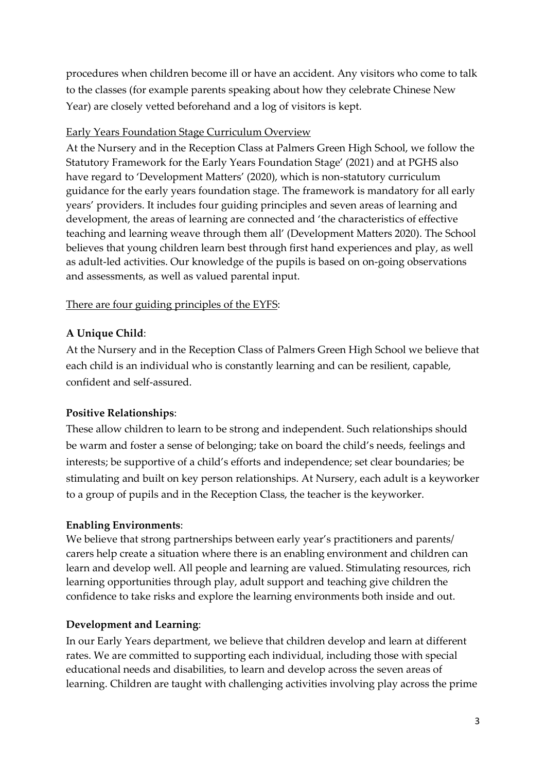procedures when children become ill or have an accident. Any visitors who come to talk to the classes (for example parents speaking about how they celebrate Chinese New Year) are closely vetted beforehand and a log of visitors is kept.

## Early Years Foundation Stage Curriculum Overview

At the Nursery and in the Reception Class at Palmers Green High School, we follow the Statutory Framework for the Early Years Foundation Stage' (2021) and at PGHS also have regard to 'Development Matters' (2020), which is non-statutory curriculum guidance for the early years foundation stage. The framework is mandatory for all early years' providers. It includes four guiding principles and seven areas of learning and development, the areas of learning are connected and 'the characteristics of effective teaching and learning weave through them all' (Development Matters 2020). The School believes that young children learn best through first hand experiences and play, as well as adult-led activities. Our knowledge of the pupils is based on on-going observations and assessments, as well as valued parental input.

## There are four guiding principles of the EYFS:

## **A Unique Child**:

At the Nursery and in the Reception Class of Palmers Green High School we believe that each child is an individual who is constantly learning and can be resilient, capable, confident and self-assured.

# **Positive Relationships**:

These allow children to learn to be strong and independent. Such relationships should be warm and foster a sense of belonging; take on board the child's needs, feelings and interests; be supportive of a child's efforts and independence; set clear boundaries; be stimulating and built on key person relationships. At Nursery, each adult is a keyworker to a group of pupils and in the Reception Class, the teacher is the keyworker.

## **Enabling Environments**:

We believe that strong partnerships between early year's practitioners and parents/ carers help create a situation where there is an enabling environment and children can learn and develop well. All people and learning are valued. Stimulating resources, rich learning opportunities through play, adult support and teaching give children the confidence to take risks and explore the learning environments both inside and out.

## **Development and Learning**:

In our Early Years department, we believe that children develop and learn at different rates. We are committed to supporting each individual, including those with special educational needs and disabilities, to learn and develop across the seven areas of learning. Children are taught with challenging activities involving play across the prime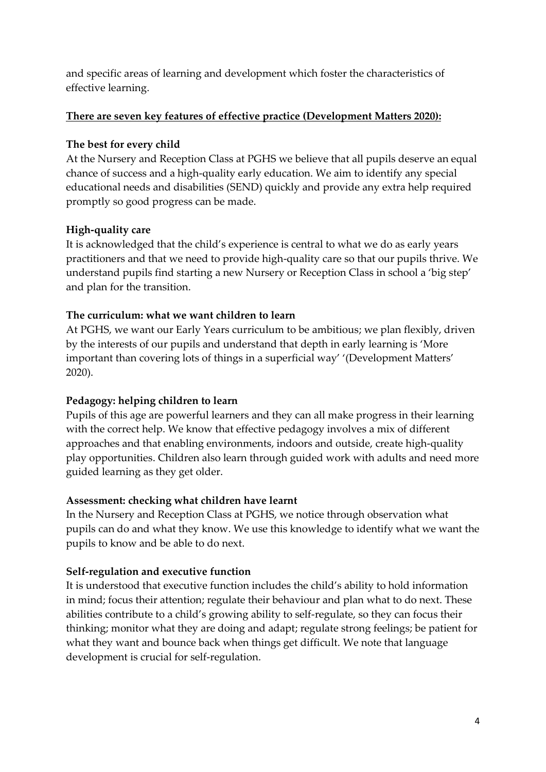and specific areas of learning and development which foster the characteristics of effective learning.

## **There are seven key features of effective practice (Development Matters 2020):**

### **The best for every child**

At the Nursery and Reception Class at PGHS we believe that all pupils deserve an equal chance of success and a high-quality early education. We aim to identify any special educational needs and disabilities (SEND) quickly and provide any extra help required promptly so good progress can be made.

### **High-quality care**

It is acknowledged that the child's experience is central to what we do as early years practitioners and that we need to provide high-quality care so that our pupils thrive. We understand pupils find starting a new Nursery or Reception Class in school a 'big step' and plan for the transition.

### **The curriculum: what we want children to learn**

At PGHS, we want our Early Years curriculum to be ambitious; we plan flexibly, driven by the interests of our pupils and understand that depth in early learning is 'More important than covering lots of things in a superficial way' '(Development Matters' 2020).

## **Pedagogy: helping children to learn**

Pupils of this age are powerful learners and they can all make progress in their learning with the correct help. We know that effective pedagogy involves a mix of different approaches and that enabling environments, indoors and outside, create high-quality play opportunities. Children also learn through guided work with adults and need more guided learning as they get older.

#### **Assessment: checking what children have learnt**

In the Nursery and Reception Class at PGHS, we notice through observation what pupils can do and what they know. We use this knowledge to identify what we want the pupils to know and be able to do next.

## **Self-regulation and executive function**

It is understood that executive function includes the child's ability to hold information in mind; focus their attention; regulate their behaviour and plan what to do next. These abilities contribute to a child's growing ability to self-regulate, so they can focus their thinking; monitor what they are doing and adapt; regulate strong feelings; be patient for what they want and bounce back when things get difficult. We note that language development is crucial for self-regulation.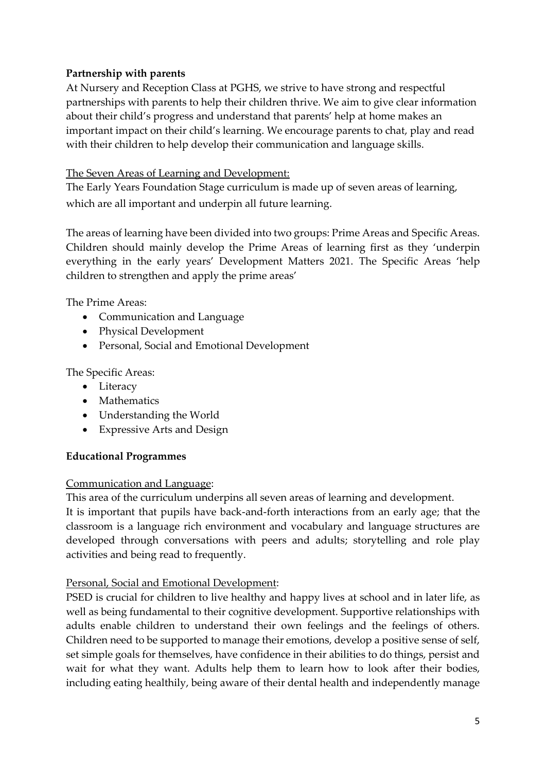## **Partnership with parents**

At Nursery and Reception Class at PGHS, we strive to have strong and respectful partnerships with parents to help their children thrive. We aim to give clear information about their child's progress and understand that parents' help at home makes an important impact on their child's learning. We encourage parents to chat, play and read with their children to help develop their communication and language skills.

## The Seven Areas of Learning and Development:

The Early Years Foundation Stage curriculum is made up of seven areas of learning, which are all important and underpin all future learning.

The areas of learning have been divided into two groups: Prime Areas and Specific Areas. Children should mainly develop the Prime Areas of learning first as they 'underpin everything in the early years' Development Matters 2021. The Specific Areas 'help children to strengthen and apply the prime areas'

The Prime Areas:

- Communication and Language
- Physical Development
- Personal, Social and Emotional Development

The Specific Areas:

- Literacy
- Mathematics
- Understanding the World
- Expressive Arts and Design

## **Educational Programmes**

## Communication and Language:

This area of the curriculum underpins all seven areas of learning and development.

It is important that pupils have back-and-forth interactions from an early age; that the classroom is a language rich environment and vocabulary and language structures are developed through conversations with peers and adults; storytelling and role play activities and being read to frequently.

## Personal, Social and Emotional Development:

PSED is crucial for children to live healthy and happy lives at school and in later life, as well as being fundamental to their cognitive development. Supportive relationships with adults enable children to understand their own feelings and the feelings of others. Children need to be supported to manage their emotions, develop a positive sense of self, set simple goals for themselves, have confidence in their abilities to do things, persist and wait for what they want. Adults help them to learn how to look after their bodies, including eating healthily, being aware of their dental health and independently manage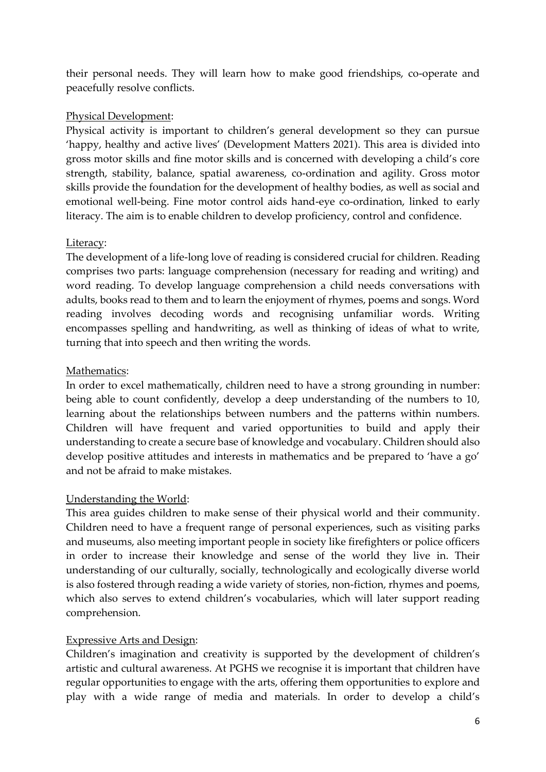their personal needs. They will learn how to make good friendships, co-operate and peacefully resolve conflicts.

## Physical Development:

Physical activity is important to children's general development so they can pursue 'happy, healthy and active lives' (Development Matters 2021). This area is divided into gross motor skills and fine motor skills and is concerned with developing a child's core strength, stability, balance, spatial awareness, co-ordination and agility. Gross motor skills provide the foundation for the development of healthy bodies, as well as social and emotional well-being. Fine motor control aids hand-eye co-ordination, linked to early literacy. The aim is to enable children to develop proficiency, control and confidence.

## Literacy:

The development of a life-long love of reading is considered crucial for children. Reading comprises two parts: language comprehension (necessary for reading and writing) and word reading. To develop language comprehension a child needs conversations with adults, books read to them and to learn the enjoyment of rhymes, poems and songs. Word reading involves decoding words and recognising unfamiliar words. Writing encompasses spelling and handwriting, as well as thinking of ideas of what to write, turning that into speech and then writing the words.

## Mathematics:

In order to excel mathematically, children need to have a strong grounding in number: being able to count confidently, develop a deep understanding of the numbers to 10, learning about the relationships between numbers and the patterns within numbers. Children will have frequent and varied opportunities to build and apply their understanding to create a secure base of knowledge and vocabulary. Children should also develop positive attitudes and interests in mathematics and be prepared to 'have a go' and not be afraid to make mistakes.

## Understanding the World:

This area guides children to make sense of their physical world and their community. Children need to have a frequent range of personal experiences, such as visiting parks and museums, also meeting important people in society like firefighters or police officers in order to increase their knowledge and sense of the world they live in. Their understanding of our culturally, socially, technologically and ecologically diverse world is also fostered through reading a wide variety of stories, non-fiction, rhymes and poems, which also serves to extend children's vocabularies, which will later support reading comprehension.

## Expressive Arts and Design:

Children's imagination and creativity is supported by the development of children's artistic and cultural awareness. At PGHS we recognise it is important that children have regular opportunities to engage with the arts, offering them opportunities to explore and play with a wide range of media and materials. In order to develop a child's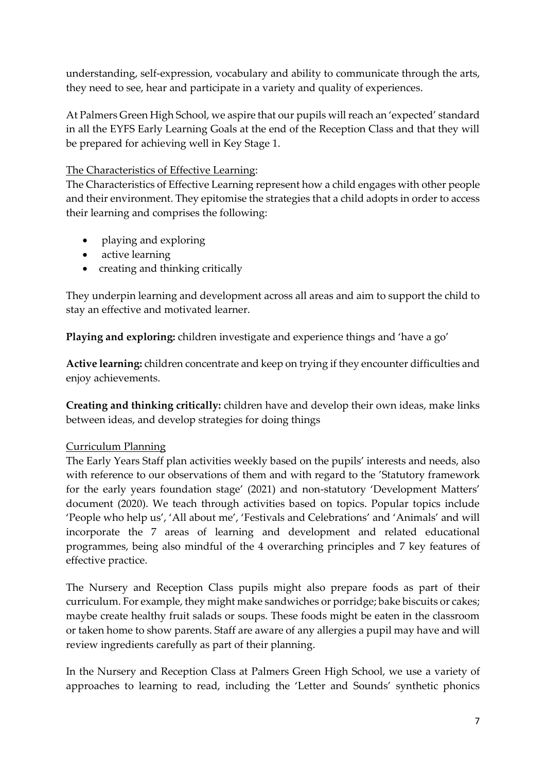understanding, self-expression, vocabulary and ability to communicate through the arts, they need to see, hear and participate in a variety and quality of experiences.

At Palmers Green High School, we aspire that our pupils will reach an 'expected' standard in all the EYFS Early Learning Goals at the end of the Reception Class and that they will be prepared for achieving well in Key Stage 1.

### The Characteristics of Effective Learning:

The Characteristics of Effective Learning represent how a child engages with other people and their environment. They epitomise the strategies that a child adopts in order to access their learning and comprises the following:

- playing and exploring
- active learning
- creating and thinking critically

They underpin learning and development across all areas and aim to support the child to stay an effective and motivated learner.

**Playing and exploring:** children investigate and experience things and 'have a go'

**Active learning:** children concentrate and keep on trying if they encounter difficulties and enjoy achievements.

**Creating and thinking critically:** children have and develop their own ideas, make links between ideas, and develop strategies for doing things

## Curriculum Planning

The Early Years Staff plan activities weekly based on the pupils' interests and needs, also with reference to our observations of them and with regard to the 'Statutory framework for the early years foundation stage' (2021) and non-statutory 'Development Matters' document (2020). We teach through activities based on topics. Popular topics include 'People who help us', 'All about me', 'Festivals and Celebrations' and 'Animals' and will incorporate the 7 areas of learning and development and related educational programmes, being also mindful of the 4 overarching principles and 7 key features of effective practice.

The Nursery and Reception Class pupils might also prepare foods as part of their curriculum. For example, they might make sandwiches or porridge; bake biscuits or cakes; maybe create healthy fruit salads or soups. These foods might be eaten in the classroom or taken home to show parents. Staff are aware of any allergies a pupil may have and will review ingredients carefully as part of their planning.

In the Nursery and Reception Class at Palmers Green High School, we use a variety of approaches to learning to read, including the 'Letter and Sounds' synthetic phonics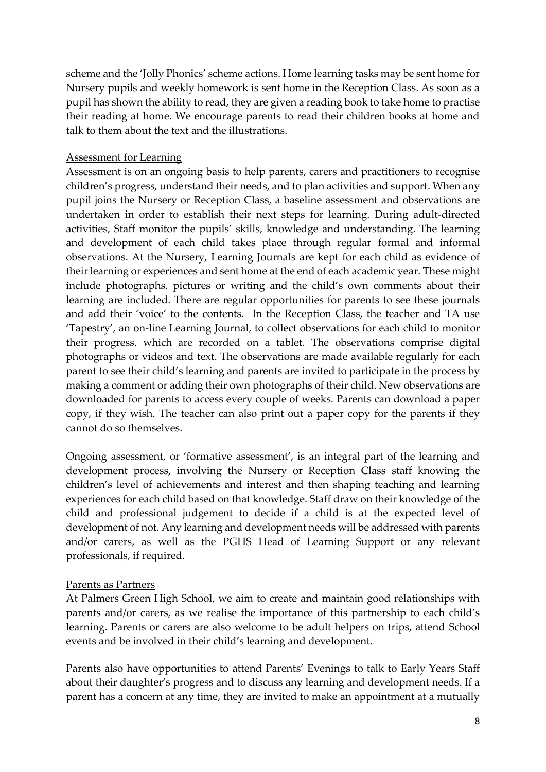scheme and the 'Jolly Phonics' scheme actions. Home learning tasks may be sent home for Nursery pupils and weekly homework is sent home in the Reception Class. As soon as a pupil has shown the ability to read, they are given a reading book to take home to practise their reading at home. We encourage parents to read their children books at home and talk to them about the text and the illustrations.

### Assessment for Learning

Assessment is on an ongoing basis to help parents, carers and practitioners to recognise children's progress, understand their needs, and to plan activities and support. When any pupil joins the Nursery or Reception Class, a baseline assessment and observations are undertaken in order to establish their next steps for learning. During adult-directed activities, Staff monitor the pupils' skills, knowledge and understanding. The learning and development of each child takes place through regular formal and informal observations. At the Nursery, Learning Journals are kept for each child as evidence of their learning or experiences and sent home at the end of each academic year. These might include photographs, pictures or writing and the child's own comments about their learning are included. There are regular opportunities for parents to see these journals and add their 'voice' to the contents. In the Reception Class, the teacher and TA use 'Tapestry', an on-line Learning Journal, to collect observations for each child to monitor their progress, which are recorded on a tablet. The observations comprise digital photographs or videos and text. The observations are made available regularly for each parent to see their child's learning and parents are invited to participate in the process by making a comment or adding their own photographs of their child. New observations are downloaded for parents to access every couple of weeks. Parents can download a paper copy, if they wish. The teacher can also print out a paper copy for the parents if they cannot do so themselves.

Ongoing assessment, or 'formative assessment', is an integral part of the learning and development process, involving the Nursery or Reception Class staff knowing the children's level of achievements and interest and then shaping teaching and learning experiences for each child based on that knowledge. Staff draw on their knowledge of the child and professional judgement to decide if a child is at the expected level of development of not. Any learning and development needs will be addressed with parents and/or carers, as well as the PGHS Head of Learning Support or any relevant professionals, if required.

#### Parents as Partners

At Palmers Green High School, we aim to create and maintain good relationships with parents and/or carers, as we realise the importance of this partnership to each child's learning. Parents or carers are also welcome to be adult helpers on trips, attend School events and be involved in their child's learning and development.

Parents also have opportunities to attend Parents' Evenings to talk to Early Years Staff about their daughter's progress and to discuss any learning and development needs. If a parent has a concern at any time, they are invited to make an appointment at a mutually